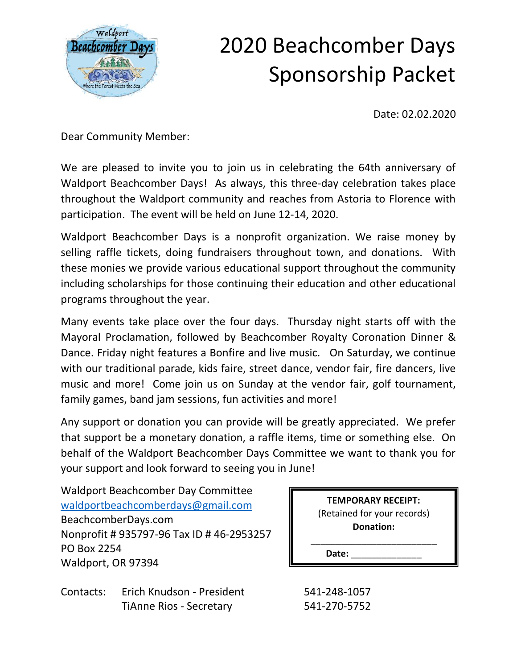

Date: 02.02.2020

Dear Community Member:

We are pleased to invite you to join us in celebrating the 64th anniversary of Waldport Beachcomber Days! As always, this three-day celebration takes place throughout the Waldport community and reaches from Astoria to Florence with participation. The event will be held on June 12-14, 2020.

Waldport Beachcomber Days is a nonprofit organization. We raise money by selling raffle tickets, doing fundraisers throughout town, and donations. With these monies we provide various educational support throughout the community including scholarships for those continuing their education and other educational programs throughout the year.

Many events take place over the four days. Thursday night starts off with the Mayoral Proclamation, followed by Beachcomber Royalty Coronation Dinner & Dance. Friday night features a Bonfire and live music. On Saturday, we continue with our traditional parade, kids faire, street dance, vendor fair, fire dancers, live music and more! Come join us on Sunday at the vendor fair, golf tournament, family games, band jam sessions, fun activities and more!

Any support or donation you can provide will be greatly appreciated. We prefer that support be a monetary donation, a raffle items, time or something else. On behalf of the Waldport Beachcomber Days Committee we want to thank you for your support and look forward to seeing you in June!

Waldport Beachcomber Day Committee [waldportbeachcomberdays@gmail.com](mailto:waldportbeachcomberdays@gmail.com) BeachcomberDays.com Nonprofit # 935797-96 Tax ID # 46-2953257 PO Box 2254 Waldport, OR 97394

**TEMPORARY RECEIPT:** (Retained for your records) **Donation:**  \_\_\_\_\_\_\_\_\_\_\_\_\_\_\_\_\_\_\_\_\_\_\_\_\_

Date:

Contacts: Erich Knudson - President 541-248-1057 TiAnne Rios - Secretary 541-270-5752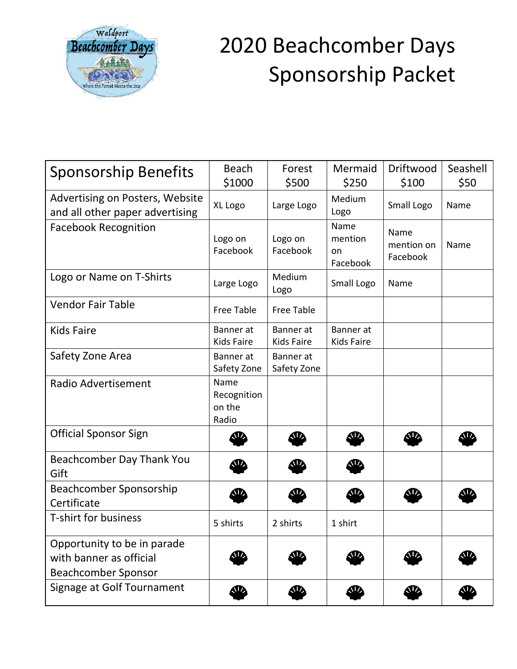

| <b>Sponsorship Benefits</b>                                                          | <b>Beach</b>                           | Forest                   | Mermaid                           | Driftwood                      | Seashell |
|--------------------------------------------------------------------------------------|----------------------------------------|--------------------------|-----------------------------------|--------------------------------|----------|
|                                                                                      | \$1000                                 | \$500                    | \$250                             | \$100                          | \$50     |
| Advertising on Posters, Website<br>and all other paper advertising                   | XL Logo                                | Large Logo               | Medium<br>Logo                    | Small Logo                     | Name     |
| <b>Facebook Recognition</b>                                                          | Logo on<br>Facebook                    | Logo on<br>Facebook      | Name<br>mention<br>on<br>Facebook | Name<br>mention on<br>Facebook | Name     |
| Logo or Name on T-Shirts                                                             | Large Logo                             | Medium<br>Logo           | Small Logo                        | Name                           |          |
| <b>Vendor Fair Table</b>                                                             | Free Table                             | <b>Free Table</b>        |                                   |                                |          |
| <b>Kids Faire</b>                                                                    | Banner at<br><b>Kids Faire</b>         | Banner at<br>Kids Faire  | Banner at<br>Kids Faire           |                                |          |
| Safety Zone Area                                                                     | Banner at<br>Safety Zone               | Banner at<br>Safety Zone |                                   |                                |          |
| Radio Advertisement                                                                  | Name<br>Recognition<br>on the<br>Radio |                          |                                   |                                |          |
| <b>Official Sponsor Sign</b>                                                         | Æ.                                     | <b>SD</b>                | Æ                                 | Ф                              | ςи       |
| Beachcomber Day Thank You<br>Gift                                                    | W,                                     |                          | W,                                |                                |          |
| Beachcomber Sponsorship<br>Certificate                                               | ЛZ,                                    |                          |                                   |                                | M        |
| <b>T-shirt for business</b>                                                          | 5 shirts                               | 2 shirts                 | 1 shirt                           |                                |          |
| Opportunity to be in parade<br>with banner as official<br><b>Beachcomber Sponsor</b> | ЛZ,                                    |                          |                                   |                                |          |
| Signage at Golf Tournament                                                           | <u>sia</u>                             | œ.                       | œ                                 | œ.                             | Œ        |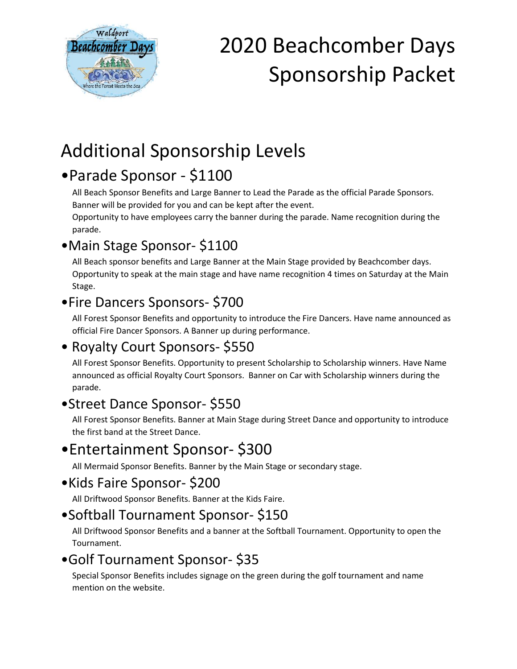

### Additional Sponsorship Levels

### •Parade Sponsor - \$1100

All Beach Sponsor Benefits and Large Banner to Lead the Parade as the official Parade Sponsors. Banner will be provided for you and can be kept after the event.

Opportunity to have employees carry the banner during the parade. Name recognition during the parade.

#### •Main Stage Sponsor- \$1100

All Beach sponsor benefits and Large Banner at the Main Stage provided by Beachcomber days. Opportunity to speak at the main stage and have name recognition 4 times on Saturday at the Main Stage.

#### •Fire Dancers Sponsors- \$700

All Forest Sponsor Benefits and opportunity to introduce the Fire Dancers. Have name announced as official Fire Dancer Sponsors. A Banner up during performance.

#### • Royalty Court Sponsors- \$550

All Forest Sponsor Benefits. Opportunity to present Scholarship to Scholarship winners. Have Name announced as official Royalty Court Sponsors. Banner on Car with Scholarship winners during the parade.

#### •Street Dance Sponsor- \$550

All Forest Sponsor Benefits. Banner at Main Stage during Street Dance and opportunity to introduce the first band at the Street Dance.

### •Entertainment Sponsor- \$300

All Mermaid Sponsor Benefits. Banner by the Main Stage or secondary stage.

#### •Kids Faire Sponsor- \$200

All Driftwood Sponsor Benefits. Banner at the Kids Faire.

#### •Softball Tournament Sponsor- \$150

All Driftwood Sponsor Benefits and a banner at the Softball Tournament. Opportunity to open the Tournament.

#### •Golf Tournament Sponsor- \$35

Special Sponsor Benefits includes signage on the green during the golf tournament and name mention on the website.